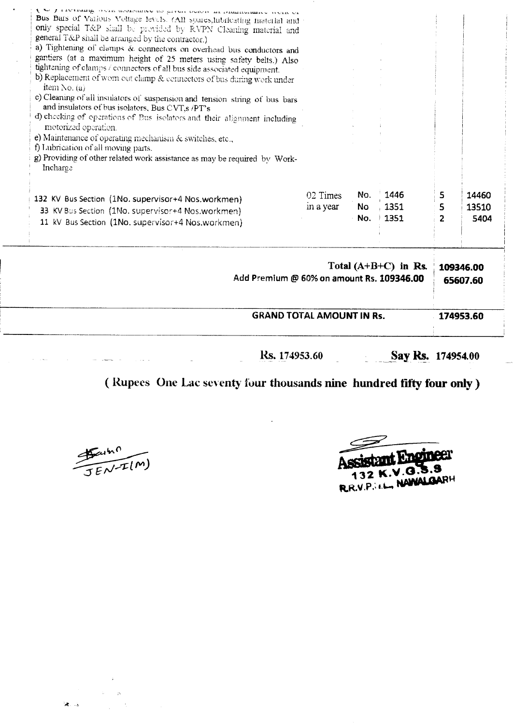| <b>GRAND TOTAL AMOUNT IN Rs.</b><br><b>Rs.</b> 174953.60<br>Say Rs. 174954.00                                                                                                                                                                                                                                                                                                                                                                                                                                           |                                                                     |                         |                      |                          | 174953.60              |  |
|-------------------------------------------------------------------------------------------------------------------------------------------------------------------------------------------------------------------------------------------------------------------------------------------------------------------------------------------------------------------------------------------------------------------------------------------------------------------------------------------------------------------------|---------------------------------------------------------------------|-------------------------|----------------------|--------------------------|------------------------|--|
|                                                                                                                                                                                                                                                                                                                                                                                                                                                                                                                         | Total $(A+B+C)$ in Rs.<br>Add Premium @ 60% on amount Rs. 109346.00 |                         |                      |                          |                        |  |
| 132 KV Bus Section (1No. supervisor+4 Nos.workmen)<br>33 KV Bus Section (1No. supervisor+4 Nos.workmen)<br>11 kV Bus Section (1No. supervisor+4 Nos.workmen)                                                                                                                                                                                                                                                                                                                                                            | 02 Times<br>in a year                                               | No.<br><b>No</b><br>No. | 1446<br>1351<br>1351 | 5<br>5<br>$\overline{2}$ | 14460<br>13510<br>5404 |  |
| c) Cleaning of all insulators of suspension and tension string of bus bars<br>and insulators of bus isolators, Bus CVT,s /PT's<br>d) checking of operations of Bus isolators and their alignment including<br>motorized operation.<br>e) Maintenance of operating mechanism & switches, etc.,<br>f) Lubrication of all moving parts.<br>g) Providing of other related work assistance as may be required by Work-<br>Incharge                                                                                           |                                                                     |                         |                      |                          |                        |  |
| Bus Bars of Vatious Voltage levels. (All spares,lubricating material and<br>only special T&P shall be provided by RVPN Cleaning material and<br>general T&P shall be arranged by the contractor.)<br>a) Tightening of clamps & connectors on overhead bus conductors and<br>gantiers (at a maximum height of 25 meters using safety belts.) Also<br>tightening of clamps / connectors of all bus side associated equipment.<br>b) Replacement of worn out clamp & connectors of bus during work under<br>item No. $(a)$ |                                                                     |                         |                      |                          |                        |  |

## **(Rupees One Lac seventy four thousands nine hundred tifty tour only)**

 $\frac{45.4h^{0}}{JEN-IL(M)}$ 

 $\hat{\mathbf{r}}$ 

Assistant Engineer